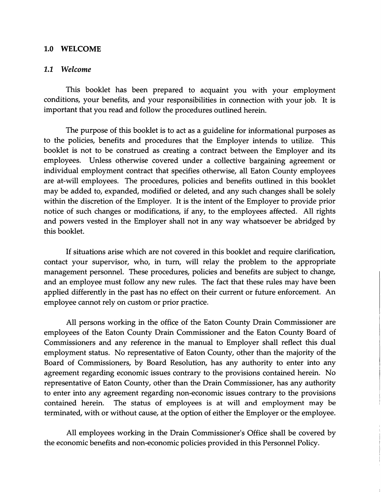## 1.0 WELCOME

## *1.1 Welcome*

This booklet has been prepared to acquaint you with your employment conditions, your benefits, and your responsibilities in connection with your job. It is important that you read and follow the procedures outlined herein.

The purpose of this booklet is to act as a guideline for informational purposes as to the policies, benefits and procedures that the Employer intends to utilize. This booklet is not to be construed as creating a contract between the Employer and its employees. Unless otherwise covered under a collective bargaining agreement or individual employment contract that specifies otherwise, all Eaton County employees are at-will employees. The procedures, policies and benefits outlined in this booklet may be added to, expanded, modified or deleted, and any such changes shall be solely within the discretion of the Employer. It is the intent of the Employer to provide prior notice of such changes or modifications, if any, to the employees affected. All rights and powers vested in the Employer shall not in any way whatsoever be abridged by this booklet.

If situations arise which are not covered in this booklet and require clarification, contact your supervisor, who, in turn, will relay the problem to the appropriate management personnel. These procedures, policies and benefits are subject to change, and an employee must follow any new rules. The fact that these rules may have been applied differently in the past has no effect on their current or future enforcement. An employee cannot rely on custom or prior practice.

All persons working in the office of the Eaton County Drain Commissioner are employees of the Eaton County Drain Commissioner and the Eaton County Board of Commissioners and any reference in the manual to Employer shall reflect this dual employment status. No representative of Eaton County, other than the majority of the Board of Commissioners, by Board Resolution, has any authority to enter into any agreement regarding economic issues contrary to the provisions contained herein. No representative of Eaton County, other than the Drain Commissioner, has any authority to enter into any agreement regarding non-economic issues contrary to the provisions contained herein. The status of employees is at will and employment may be terminated, with or without cause, at the option of either the Employer or the employee.

All employees working in the Drain Commissioner's Office shall be covered by the economic benefits and non-economic policies provided in this Personnel Policy.